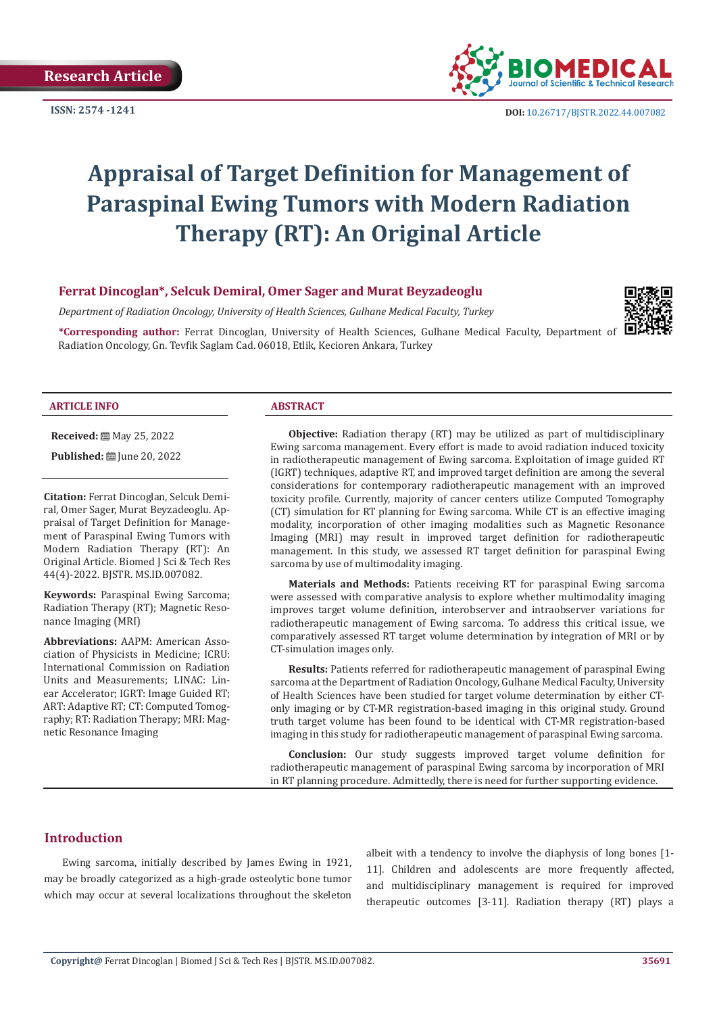

**ISSN:**  $2574 - 1241$  **DOI:** [10.26717/BJSTR.2022.44.007082](https://dx.doi.org/10.26717/BJSTR.2022.44.007082)

# **Appraisal of Target Definition for Management of Paraspinal Ewing Tumors with Modern Radiation Therapy (RT): An Original Article**

## **Ferrat Dincoglan\*, Selcuk Demiral, Omer Sager and Murat Beyzadeoglu**

*Department of Radiation Oncology, University of Health Sciences, Gulhane Medical Faculty, Turkey*

**\*Corresponding author:** Ferrat Dincoglan, University of Health Sciences, Gulhane Medical Faculty, Department of Radiation Oncology, Gn. Tevfik Saglam Cad. 06018, Etlik, Kecioren Ankara, Turkey

#### **ARTICLE INFO ABSTRACT**

**Received:** 圖 May 25, 2022

**Published:** ■ June 20, 2022

**Citation:** Ferrat Dincoglan, Selcuk Demiral, Omer Sager, Murat Beyzadeoglu. Appraisal of Target Definition for Management of Paraspinal Ewing Tumors with Modern Radiation Therapy (RT): An Original Article. Biomed J Sci & Tech Res 44(4)-2022. BJSTR. MS.ID.007082.

**Keywords:** Paraspinal Ewing Sarcoma; Radiation Therapy (RT); Magnetic Resonance Imaging (MRI)

**Abbreviations:** AAPM: American Association of Physicists in Medicine; ICRU: International Commission on Radiation Units and Measurements; LINAC: Linear Accelerator; IGRT: Image Guided RT; ART: Adaptive RT; CT: Computed Tomography; RT: Radiation Therapy; MRI: Magnetic Resonance Imaging

**Objective:** Radiation therapy (RT) may be utilized as part of multidisciplinary Ewing sarcoma management. Every effort is made to avoid radiation induced toxicity in radiotherapeutic management of Ewing sarcoma. Exploitation of image guided RT (IGRT) techniques, adaptive RT, and improved target definition are among the several considerations for contemporary radiotherapeutic management with an improved toxicity profile. Currently, majority of cancer centers utilize Computed Tomography (CT) simulation for RT planning for Ewing sarcoma. While CT is an effective imaging modality, incorporation of other imaging modalities such as Magnetic Resonance Imaging (MRI) may result in improved target definition for radiotherapeutic management. In this study, we assessed RT target definition for paraspinal Ewing sarcoma by use of multimodality imaging.

**Materials and Methods:** Patients receiving RT for paraspinal Ewing sarcoma were assessed with comparative analysis to explore whether multimodality imaging improves target volume definition, interobserver and intraobserver variations for radiotherapeutic management of Ewing sarcoma. To address this critical issue, we comparatively assessed RT target volume determination by integration of MRI or by CT-simulation images only.

**Results:** Patients referred for radiotherapeutic management of paraspinal Ewing sarcoma at the Department of Radiation Oncology, Gulhane Medical Faculty, University of Health Sciences have been studied for target volume determination by either CTonly imaging or by CT-MR registration-based imaging in this original study. Ground truth target volume has been found to be identical with CT-MR registration-based imaging in this study for radiotherapeutic management of paraspinal Ewing sarcoma.

**Conclusion:** Our study suggests improved target volume definition for radiotherapeutic management of paraspinal Ewing sarcoma by incorporation of MRI in RT planning procedure. Admittedly, there is need for further supporting evidence.

# **Introduction**

Ewing sarcoma, initially described by James Ewing in 1921, may be broadly categorized as a high-grade osteolytic bone tumor which may occur at several localizations throughout the skeleton albeit with a tendency to involve the diaphysis of long bones [1- 11]. Children and adolescents are more frequently affected, and multidisciplinary management is required for improved therapeutic outcomes [3-11]. Radiation therapy (RT) plays a

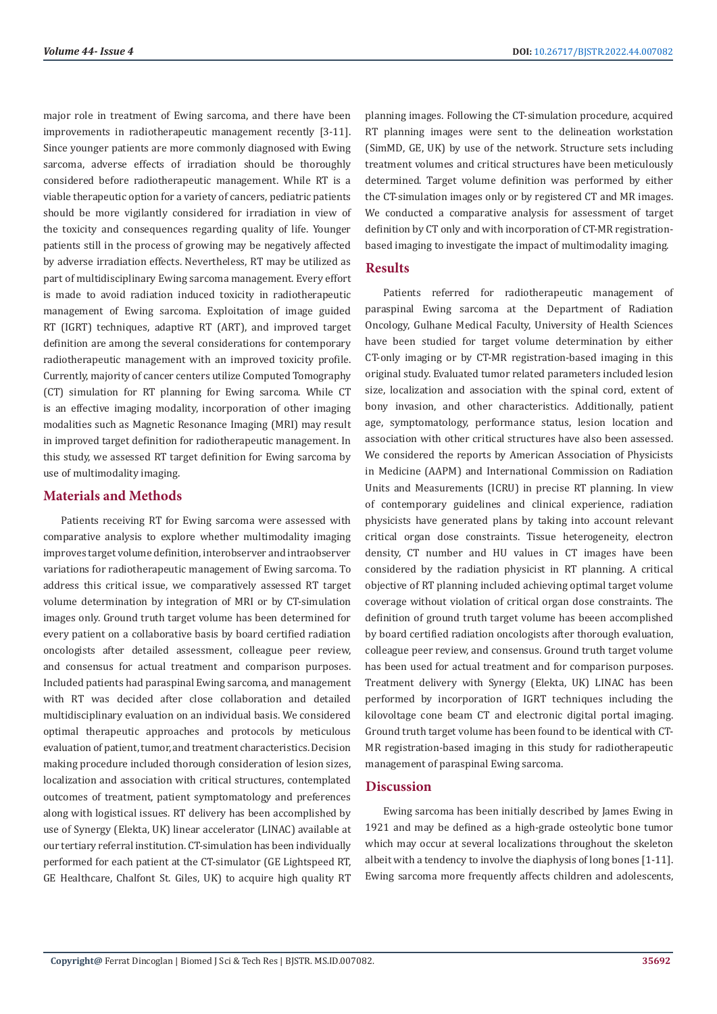major role in treatment of Ewing sarcoma, and there have been improvements in radiotherapeutic management recently [3-11]. Since younger patients are more commonly diagnosed with Ewing sarcoma, adverse effects of irradiation should be thoroughly considered before radiotherapeutic management. While RT is a viable therapeutic option for a variety of cancers, pediatric patients should be more vigilantly considered for irradiation in view of the toxicity and consequences regarding quality of life. Younger patients still in the process of growing may be negatively affected by adverse irradiation effects. Nevertheless, RT may be utilized as part of multidisciplinary Ewing sarcoma management. Every effort is made to avoid radiation induced toxicity in radiotherapeutic management of Ewing sarcoma. Exploitation of image guided RT (IGRT) techniques, adaptive RT (ART), and improved target definition are among the several considerations for contemporary radiotherapeutic management with an improved toxicity profile. Currently, majority of cancer centers utilize Computed Tomography (CT) simulation for RT planning for Ewing sarcoma. While CT is an effective imaging modality, incorporation of other imaging modalities such as Magnetic Resonance Imaging (MRI) may result in improved target definition for radiotherapeutic management. In this study, we assessed RT target definition for Ewing sarcoma by use of multimodality imaging.

## **Materials and Methods**

Patients receiving RT for Ewing sarcoma were assessed with comparative analysis to explore whether multimodality imaging improves target volume definition, interobserver and intraobserver variations for radiotherapeutic management of Ewing sarcoma. To address this critical issue, we comparatively assessed RT target volume determination by integration of MRI or by CT-simulation images only. Ground truth target volume has been determined for every patient on a collaborative basis by board certified radiation oncologists after detailed assessment, colleague peer review, and consensus for actual treatment and comparison purposes. Included patients had paraspinal Ewing sarcoma, and management with RT was decided after close collaboration and detailed multidisciplinary evaluation on an individual basis. We considered optimal therapeutic approaches and protocols by meticulous evaluation of patient, tumor, and treatment characteristics. Decision making procedure included thorough consideration of lesion sizes, localization and association with critical structures, contemplated outcomes of treatment, patient symptomatology and preferences along with logistical issues. RT delivery has been accomplished by use of Synergy (Elekta, UK) linear accelerator (LINAC) available at our tertiary referral institution. CT-simulation has been individually performed for each patient at the CT-simulator (GE Lightspeed RT, GE Healthcare, Chalfont St. Giles, UK) to acquire high quality RT

planning images. Following the CT-simulation procedure, acquired RT planning images were sent to the delineation workstation (SimMD, GE, UK) by use of the network. Structure sets including treatment volumes and critical structures have been meticulously determined. Target volume definition was performed by either the CT-simulation images only or by registered CT and MR images. We conducted a comparative analysis for assessment of target definition by CT only and with incorporation of CT-MR registrationbased imaging to investigate the impact of multimodality imaging.

#### **Results**

Patients referred for radiotherapeutic management of paraspinal Ewing sarcoma at the Department of Radiation Oncology, Gulhane Medical Faculty, University of Health Sciences have been studied for target volume determination by either CT-only imaging or by CT-MR registration-based imaging in this original study. Evaluated tumor related parameters included lesion size, localization and association with the spinal cord, extent of bony invasion, and other characteristics. Additionally, patient age, symptomatology, performance status, lesion location and association with other critical structures have also been assessed. We considered the reports by American Association of Physicists in Medicine (AAPM) and International Commission on Radiation Units and Measurements (ICRU) in precise RT planning. In view of contemporary guidelines and clinical experience, radiation physicists have generated plans by taking into account relevant critical organ dose constraints. Tissue heterogeneity, electron density, CT number and HU values in CT images have been considered by the radiation physicist in RT planning. A critical objective of RT planning included achieving optimal target volume coverage without violation of critical organ dose constraints. The definition of ground truth target volume has beeen accomplished by board certified radiation oncologists after thorough evaluation, colleague peer review, and consensus. Ground truth target volume has been used for actual treatment and for comparison purposes. Treatment delivery with Synergy (Elekta, UK) LINAC has been performed by incorporation of IGRT techniques including the kilovoltage cone beam CT and electronic digital portal imaging. Ground truth target volume has been found to be identical with CT-MR registration-based imaging in this study for radiotherapeutic management of paraspinal Ewing sarcoma.

# **Discussion**

Ewing sarcoma has been initially described by James Ewing in 1921 and may be defined as a high-grade osteolytic bone tumor which may occur at several localizations throughout the skeleton albeit with a tendency to involve the diaphysis of long bones [1-11]. Ewing sarcoma more frequently affects children and adolescents,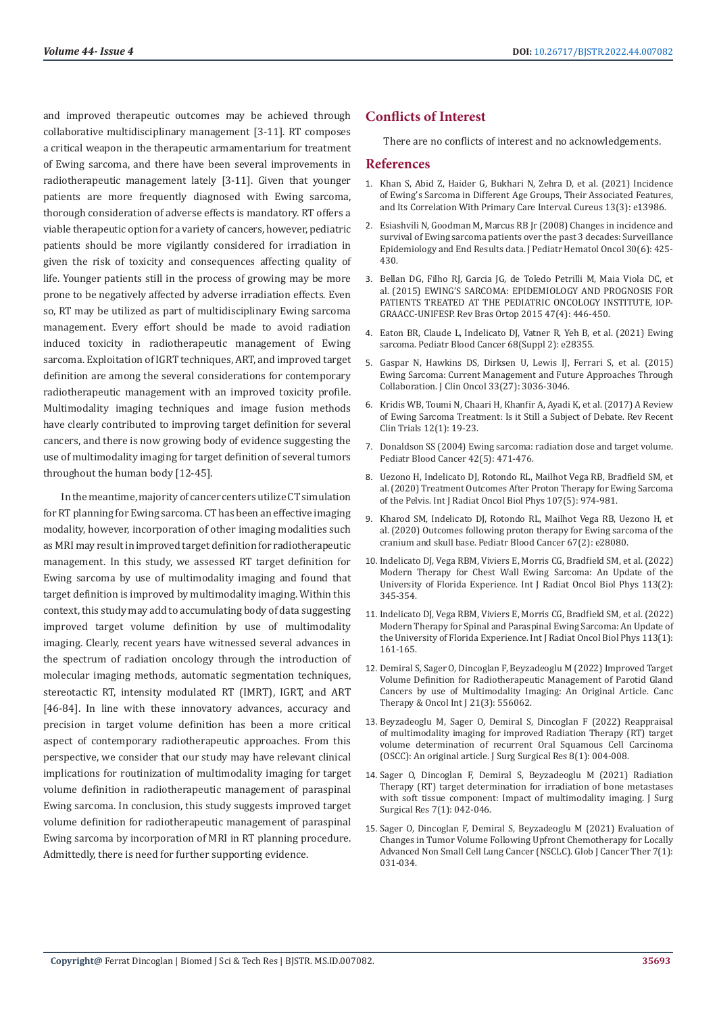and improved therapeutic outcomes may be achieved through collaborative multidisciplinary management [3-11]. RT composes a critical weapon in the therapeutic armamentarium for treatment of Ewing sarcoma, and there have been several improvements in radiotherapeutic management lately [3-11]. Given that younger patients are more frequently diagnosed with Ewing sarcoma, thorough consideration of adverse effects is mandatory. RT offers a viable therapeutic option for a variety of cancers, however, pediatric patients should be more vigilantly considered for irradiation in given the risk of toxicity and consequences affecting quality of life. Younger patients still in the process of growing may be more prone to be negatively affected by adverse irradiation effects. Even so, RT may be utilized as part of multidisciplinary Ewing sarcoma management. Every effort should be made to avoid radiation induced toxicity in radiotherapeutic management of Ewing sarcoma. Exploitation of IGRT techniques, ART, and improved target definition are among the several considerations for contemporary radiotherapeutic management with an improved toxicity profile. Multimodality imaging techniques and image fusion methods have clearly contributed to improving target definition for several cancers, and there is now growing body of evidence suggesting the use of multimodality imaging for target definition of several tumors throughout the human body [12-45].

In the meantime, majority of cancer centers utilize CT simulation for RT planning for Ewing sarcoma. CT has been an effective imaging modality, however, incorporation of other imaging modalities such as MRI may result in improved target definition for radiotherapeutic management. In this study, we assessed RT target definition for Ewing sarcoma by use of multimodality imaging and found that target definition is improved by multimodality imaging. Within this context, this study may add to accumulating body of data suggesting improved target volume definition by use of multimodality imaging. Clearly, recent years have witnessed several advances in the spectrum of radiation oncology through the introduction of molecular imaging methods, automatic segmentation techniques, stereotactic RT, intensity modulated RT (IMRT), IGRT, and ART [46-84]. In line with these innovatory advances, accuracy and precision in target volume definition has been a more critical aspect of contemporary radiotherapeutic approaches. From this perspective, we consider that our study may have relevant clinical implications for routinization of multimodality imaging for target volume definition in radiotherapeutic management of paraspinal Ewing sarcoma. In conclusion, this study suggests improved target volume definition for radiotherapeutic management of paraspinal Ewing sarcoma by incorporation of MRI in RT planning procedure. Admittedly, there is need for further supporting evidence.

# **Conflicts of Interest**

There are no conflicts of interest and no acknowledgements.

#### **References**

- 1. [Khan S, Abid Z, Haider G, Bukhari N, Zehra D, et al. \(2021\) Incidence](https://pubmed.ncbi.nlm.nih.gov/33884237/) [of Ewing's Sarcoma in Different Age Groups, Their Associated Features,](https://pubmed.ncbi.nlm.nih.gov/33884237/) [and Its Correlation With Primary Care Interval. Cureus 13\(3\): e13986.](https://pubmed.ncbi.nlm.nih.gov/33884237/)
- 2. [Esiashvili N, Goodman M, Marcus RB Jr \(2008\) Changes in incidence and](https://pubmed.ncbi.nlm.nih.gov/18525458/) [survival of Ewing sarcoma patients over the past 3 decades: Surveillance](https://pubmed.ncbi.nlm.nih.gov/18525458/) [Epidemiology and End Results data. J Pediatr Hematol Oncol 30\(6\): 425-](https://pubmed.ncbi.nlm.nih.gov/18525458/) [430.](https://pubmed.ncbi.nlm.nih.gov/18525458/)
- 3. [Bellan DG, Filho RJ, Garcia JG, de Toledo Petrilli M, Maia Viola DC, et](https://pubmed.ncbi.nlm.nih.gov/27047848/) [al. \(2015\) EWING'S SARCOMA: EPIDEMIOLOGY AND PROGNOSIS FOR](https://pubmed.ncbi.nlm.nih.gov/27047848/) [PATIENTS TREATED AT THE PEDIATRIC ONCOLOGY INSTITUTE, IOP-](https://pubmed.ncbi.nlm.nih.gov/27047848/)[GRAACC-UNIFESP. Rev Bras Ortop 2015 47\(4\): 446-450.](https://pubmed.ncbi.nlm.nih.gov/27047848/)
- 4. [Eaton BR, Claude L, Indelicato DJ, Vatner R, Yeh B, et al. \(2021\) Ewing](https://pubmed.ncbi.nlm.nih.gov/33818887/) [sarcoma. Pediatr Blood Cancer 68\(Suppl 2\): e28355](https://pubmed.ncbi.nlm.nih.gov/33818887/).
- 5. [Gaspar N, Hawkins DS, Dirksen U, Lewis IJ, Ferrari S, et al. \(2015\)](https://pubmed.ncbi.nlm.nih.gov/26304893/) [Ewing Sarcoma: Current Management and Future Approaches Through](https://pubmed.ncbi.nlm.nih.gov/26304893/) [Collaboration. J Clin Oncol 33\(27\): 3036-3046.](https://pubmed.ncbi.nlm.nih.gov/26304893/)
- 6. [Kridis WB, Toumi N, Chaari H, Khanfir A, Ayadi K, et al. \(2017\) A Review](https://pubmed.ncbi.nlm.nih.gov/28117008/) [of Ewing Sarcoma Treatment: Is it Still a Subject of Debate. Rev Recent](https://pubmed.ncbi.nlm.nih.gov/28117008/) [Clin Trials 12\(1\): 19-23.](https://pubmed.ncbi.nlm.nih.gov/28117008/)
- 7. [Donaldson SS \(2004\) Ewing sarcoma: radiation dose and target volume.](https://pubmed.ncbi.nlm.nih.gov/15049023/) [Pediatr Blood Cancer 42\(5\): 471-476.](https://pubmed.ncbi.nlm.nih.gov/15049023/)
- 8. Uezono H, Indelicato DJ, Rotondo RL, Mailhot Vega RB, Bradfield SM, et al. (2020) Treatment Outcomes After Proton Therapy for Ewing Sarcoma of the Pelvis. Int J Radiat Oncol Biol Phys 107(5): 974-981.
- 9. Kharod SM, Indelicato DJ, Rotondo RL, Mailhot Vega RB, Uezono H, et al. (2020) Outcomes following proton therapy for Ewing sarcoma of the cranium and skull base. Pediatr Blood Cancer 67(2): e28080.
- 10. [Indelicato DJ, Vega RBM, Viviers E, Morris CG, Bradfield SM, et al. \(2022\)](https://pubmed.ncbi.nlm.nih.gov/35176415/) [Modern Therapy for Chest Wall Ewing Sarcoma: An Update of the](https://pubmed.ncbi.nlm.nih.gov/35176415/) [University of Florida Experience. Int J Radiat Oncol Biol Phys 113\(2\):](https://pubmed.ncbi.nlm.nih.gov/35176415/) [345-354.](https://pubmed.ncbi.nlm.nih.gov/35176415/)
- 11. [Indelicato DJ, Vega RBM, Viviers E, Morris CG, Bradfield SM, et al. \(2022\)](https://pubmed.ncbi.nlm.nih.gov/35033584/) [Modern Therapy for Spinal and Paraspinal Ewing Sarcoma: An Update of](https://pubmed.ncbi.nlm.nih.gov/35033584/) [the University of Florida Experience. Int J Radiat Oncol Biol Phys 113\(1\):](https://pubmed.ncbi.nlm.nih.gov/35033584/) [161-165.](https://pubmed.ncbi.nlm.nih.gov/35033584/)
- 12. [Demiral S, Sager O, Dincoglan F, Beyzadeoglu M \(2022\) Improved Target](https://juniperpublishers.com/ctoij/pdf/CTOIJ.MS.ID.556062.pdf) [Volume Definition for Radiotherapeutic Management of Parotid Gland](https://juniperpublishers.com/ctoij/pdf/CTOIJ.MS.ID.556062.pdf) [Cancers by use of Multimodality Imaging: An Original Article. Canc](https://juniperpublishers.com/ctoij/pdf/CTOIJ.MS.ID.556062.pdf) [Therapy & Oncol Int J 21\(3\): 556062](https://juniperpublishers.com/ctoij/pdf/CTOIJ.MS.ID.556062.pdf).
- 13. [Beyzadeoglu M, Sager O, Demiral S, Dincoglan F \(2022\) Reappraisal](https://www.peertechzpublications.com/articles/JSSR-8-246.php) [of multimodality imaging for improved Radiation Therapy \(RT\) target](https://www.peertechzpublications.com/articles/JSSR-8-246.php) [volume determination of recurrent Oral Squamous Cell Carcinoma](https://www.peertechzpublications.com/articles/JSSR-8-246.php) [\(OSCC\): An original article. J Surg Surgical Res 8\(1\): 004-008.](https://www.peertechzpublications.com/articles/JSSR-8-246.php)
- 14. [Sager O, Dincoglan F, Demiral S, Beyzadeoglu M \(2021\) Radiation](https://www.peertechzpublications.com/articles/JSSR-7-234.php) [Therapy \(RT\) target determination for irradiation of bone metastases](https://www.peertechzpublications.com/articles/JSSR-7-234.php) [with soft tissue component: Impact of multimodality imaging. J Surg](https://www.peertechzpublications.com/articles/JSSR-7-234.php) [Surgical Res 7\(1\): 042-046.](https://www.peertechzpublications.com/articles/JSSR-7-234.php)
- 15. [Sager O, Dincoglan F, Demiral S, Beyzadeoglu M \(2021\) Evaluation of](https://www.peertechzpublications.com/articles/GJCT-7-139.php) [Changes in Tumor Volume Following Upfront Chemotherapy for Locally](https://www.peertechzpublications.com/articles/GJCT-7-139.php) [Advanced Non Small Cell Lung Cancer \(NSCLC\). Glob J Cancer Ther 7\(1\):](https://www.peertechzpublications.com/articles/GJCT-7-139.php) [031-034.](https://www.peertechzpublications.com/articles/GJCT-7-139.php)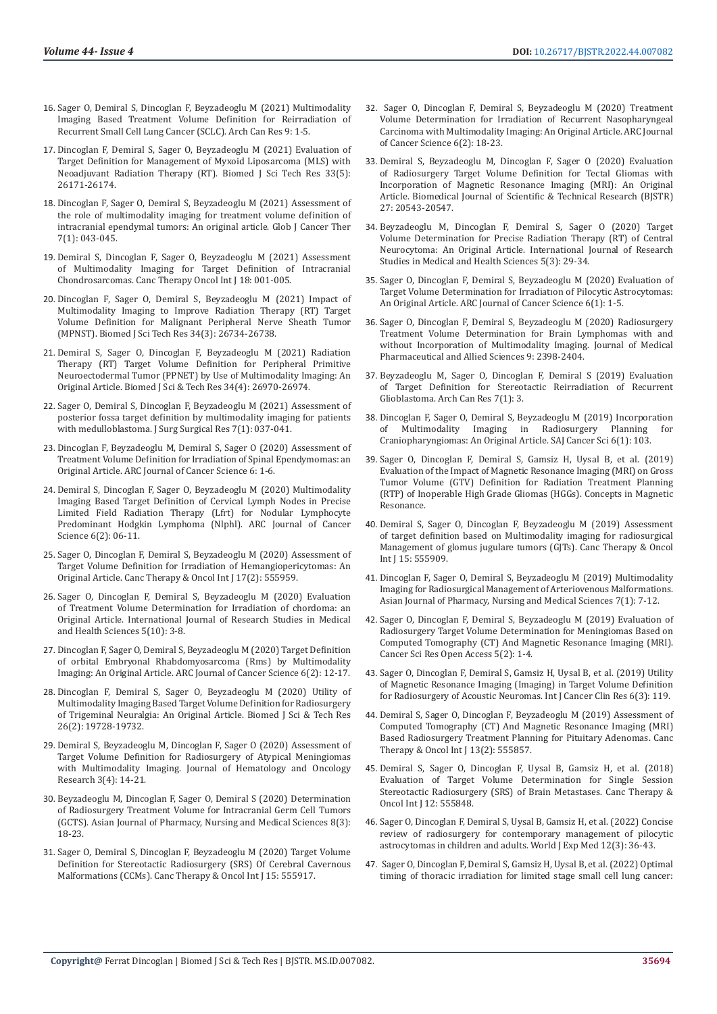- 16. [Sager O, Demiral S, Dincoglan F, Beyzadeoglu M \(2021\) Multimodality](https://www.itmedicalteam.pl/articles/multimodality-imaging-based-treatment-volume-definition-for-reirradiation-of-recurrent-small-cell-lung-cancer-sclc.pdf)  [Imaging Based Treatment Volume Definition for Reirradiation of](https://www.itmedicalteam.pl/articles/multimodality-imaging-based-treatment-volume-definition-for-reirradiation-of-recurrent-small-cell-lung-cancer-sclc.pdf)  [Recurrent Small Cell Lung Cancer \(SCLC\). Arch Can Res 9: 1-5.](https://www.itmedicalteam.pl/articles/multimodality-imaging-based-treatment-volume-definition-for-reirradiation-of-recurrent-small-cell-lung-cancer-sclc.pdf)
- 17. [Dincoglan F, Demiral S, Sager O, Beyzadeoglu M \(2021\) Evaluation of](https://biomedres.us/pdfs/BJSTR.MS.ID.005458.pdf)  [Target Definition for Management of Myxoid Liposarcoma \(MLS\) with](https://biomedres.us/pdfs/BJSTR.MS.ID.005458.pdf)  [Neoadjuvant Radiation Therapy \(RT\). Biomed J Sci Tech Res 33\(5\):](https://biomedres.us/pdfs/BJSTR.MS.ID.005458.pdf)  [26171-26174.](https://biomedres.us/pdfs/BJSTR.MS.ID.005458.pdf)
- 18. [Dincoglan F, Sager O, Demiral S, Beyzadeoglu M \(2021\) Assessment of](https://www.peertechzpublications.com/articles/GJCT-7-141.php)  [the role of multimodality imaging for treatment volume definition of](https://www.peertechzpublications.com/articles/GJCT-7-141.php)  [intracranial ependymal tumors: An original article. Glob J Cancer Ther](https://www.peertechzpublications.com/articles/GJCT-7-141.php)  [7\(1\): 043-045](https://www.peertechzpublications.com/articles/GJCT-7-141.php).
- 19. Demiral S, Dincoglan F, Sager O, Beyzadeoglu M (2021) Assessment of Multimodality Imaging for Target Definition of Intracranial Chondrosarcomas. Canc Therapy Oncol Int J 18: 001-005.
- 20. [Dincoglan F, Sager O, Demiral S, Beyzadeoglu M \(2021\) Impact of](https://biomedres.us/pdfs/BJSTR.MS.ID.005549.pdf)  [Multimodality Imaging to Improve Radiation Therapy \(RT\) Target](https://biomedres.us/pdfs/BJSTR.MS.ID.005549.pdf)  [Volume Definition for Malignant Peripheral Nerve Sheath Tumor](https://biomedres.us/pdfs/BJSTR.MS.ID.005549.pdf)  [\(MPNST\). Biomed J Sci Tech Res 34\(3\): 26734-26738.](https://biomedres.us/pdfs/BJSTR.MS.ID.005549.pdf)
- 21. [Demiral S, Sager O, Dincoglan F, Beyzadeoglu M \(2021\) Radiation](https://biomedres.us/pdfs/BJSTR.MS.ID.005586.pdf)  [Therapy \(RT\) Target Volume Definition for Peripheral Primitive](https://biomedres.us/pdfs/BJSTR.MS.ID.005586.pdf)  [Neuroectodermal Tumor \(PPNET\) by Use of Multimodality Imaging: An](https://biomedres.us/pdfs/BJSTR.MS.ID.005586.pdf)  [Original Article. Biomed J Sci & Tech Res 34\(4\): 26970-26974.](https://biomedres.us/pdfs/BJSTR.MS.ID.005586.pdf)
- 22. [Sager O, Demiral S, Dincoglan F, Beyzadeoglu M \(2021\) Assessment of](https://www.peertechzpublications.com/articles/JSSR-7-233.php)  [posterior fossa target definition by multimodality imaging for patients](https://www.peertechzpublications.com/articles/JSSR-7-233.php)  [with medulloblastoma. J Surg Surgical Res 7\(1\): 037-041.](https://www.peertechzpublications.com/articles/JSSR-7-233.php)
- 23. [Dincoglan F, Beyzadeoglu M, Demiral S, Sager O \(2020\) Assessment of](https://www.arcjournals.org/pdfs/ajcs/v6-i1/1.pdf)  [Treatment Volume Definition for Irradiation of Spinal Ependymomas: an](https://www.arcjournals.org/pdfs/ajcs/v6-i1/1.pdf)  [Original Article. ARC Journal of Cancer Science 6: 1-6.](https://www.arcjournals.org/pdfs/ajcs/v6-i1/1.pdf)
- 24. [Demiral S, Dincoglan F, Sager O, Beyzadeoglu M \(2020\) Multimodality](https://www.arcjournals.org/pdfs/ajcs/v6-i2/2.pdf)  [Imaging Based Target Definition of Cervical Lymph Nodes in Precise](https://www.arcjournals.org/pdfs/ajcs/v6-i2/2.pdf)  [Limited Field Radiation Therapy \(Lfrt\) for Nodular Lymphocyte](https://www.arcjournals.org/pdfs/ajcs/v6-i2/2.pdf)  [Predominant Hodgkin Lymphoma \(Nlphl\). ARC Journal of Cancer](https://www.arcjournals.org/pdfs/ajcs/v6-i2/2.pdf)  [Science 6\(2\): 06-11.](https://www.arcjournals.org/pdfs/ajcs/v6-i2/2.pdf)
- 25. [Sager O, Dincoglan F, Demiral S, Beyzadeoglu M \(2020\) Assessment of](https://juniperpublishers.com/ctoij/pdf/CTOIJ.MS.ID.555959.pdf)  [Target Volume Definition for Irradiation of Hemangiopericytomas: An](https://juniperpublishers.com/ctoij/pdf/CTOIJ.MS.ID.555959.pdf)  [Original Article. Canc Therapy & Oncol Int J 17\(2\): 555959.](https://juniperpublishers.com/ctoij/pdf/CTOIJ.MS.ID.555959.pdf)
- 26. [Sager O, Dincoglan F, Demiral S, Beyzadeoglu M \(2020\) Evaluation](http://www.ijrsmhs.com/pdf/v5-i10/2.pdf)  [of Treatment Volume Determination for Irradiation of chordoma: an](http://www.ijrsmhs.com/pdf/v5-i10/2.pdf)  [Original Article. International Journal of Research Studies in Medical](http://www.ijrsmhs.com/pdf/v5-i10/2.pdf)  [and Health Sciences 5\(10\): 3-8.](http://www.ijrsmhs.com/pdf/v5-i10/2.pdf)
- 27. [Dincoglan F, Sager O, Demiral S, Beyzadeoglu M \(2020\) Target Definition](https://www.arcjournals.org/pdfs/ajcs/v6-i2/3.pdf)  [of orbital Embryonal Rhabdomyosarcoma \(Rms\) by Multimodality](https://www.arcjournals.org/pdfs/ajcs/v6-i2/3.pdf)  [Imaging: An Original Article. ARC Journal of Cancer Science 6\(2\): 12-17.](https://www.arcjournals.org/pdfs/ajcs/v6-i2/3.pdf)
- 28. [Dincoglan F, Demiral S, Sager O, Beyzadeoglu M \(2020\) Utility of](https://biomedres.us/pdfs/BJSTR.MS.ID.004311.pdf)  [Multimodality Imaging Based Target Volume Definition for Radiosurgery](https://biomedres.us/pdfs/BJSTR.MS.ID.004311.pdf)  [of Trigeminal Neuralgia: An Original Article. Biomed J Sci & Tech Res](https://biomedres.us/pdfs/BJSTR.MS.ID.004311.pdf)  [26\(2\): 19728-19732.](https://biomedres.us/pdfs/BJSTR.MS.ID.004311.pdf)
- 29. [Demiral S, Beyzadeoglu M, Dincoglan F, Sager O \(2020\) Assessment of](https://openaccesspub.org/jhor/article/1323)  [Target Volume Definition for Radiosurgery of Atypical Meningiomas](https://openaccesspub.org/jhor/article/1323)  [with Multimodality Imaging. Journal of Hematology and Oncology](https://openaccesspub.org/jhor/article/1323)  [Research 3\(4\): 14-21.](https://openaccesspub.org/jhor/article/1323)
- 30. [Beyzadeoglu M, Dincoglan F, Sager O, Demiral S \(2020\) Determination](https://www.ajouronline.com/index.php/AJPNMS/article/view/6120)  [of Radiosurgery Treatment Volume for Intracranial Germ Cell Tumors](https://www.ajouronline.com/index.php/AJPNMS/article/view/6120)  [\(GCTS\). Asian Journal of Pharmacy, Nursing and Medical Sciences 8\(3\):](https://www.ajouronline.com/index.php/AJPNMS/article/view/6120)  [18-23.](https://www.ajouronline.com/index.php/AJPNMS/article/view/6120)
- 31. [Sager O, Demiral S, Dincoglan F, Beyzadeoglu M \(2020\) Target Volume](https://juniperpublishers.com/ctoij/CTOIJ.MS.ID.555917.php)  [Definition for Stereotactic Radiosurgery \(SRS\) Of Cerebral Cavernous](https://juniperpublishers.com/ctoij/CTOIJ.MS.ID.555917.php)  [Malformations \(CCMs\). Canc Therapy & Oncol Int J 15: 555917.](https://juniperpublishers.com/ctoij/CTOIJ.MS.ID.555917.php)
- 32. [Sager O, Dincoglan F, Demiral S, Beyzadeoglu M \(2020\) Treatment](https://www.arcjournals.org/pdfs/ajcs/v6-i2/4.pdf) [Volume Determination for Irradiation of Recurrent Nasopharyngeal](https://www.arcjournals.org/pdfs/ajcs/v6-i2/4.pdf) [Carcinoma with Multimodality Imaging: An Original Article. ARC Journal](https://www.arcjournals.org/pdfs/ajcs/v6-i2/4.pdf) [of Cancer Science 6\(2\): 18-23.](https://www.arcjournals.org/pdfs/ajcs/v6-i2/4.pdf)
- 33. [Demiral S, Beyzadeoglu M, Dincoglan F, Sager O \(2020\) Evaluation](https://biomedres.us/fulltexts/BJSTR.MS.ID.004461.php) [of Radiosurgery Target Volume Definition for Tectal Gliomas with](https://biomedres.us/fulltexts/BJSTR.MS.ID.004461.php) [Incorporation of Magnetic Resonance Imaging \(MRI\): An Original](https://biomedres.us/fulltexts/BJSTR.MS.ID.004461.php) [Article. Biomedical Journal of Scientific & Technical Research \(BJSTR\)](https://biomedres.us/fulltexts/BJSTR.MS.ID.004461.php) [27: 20543-20547.](https://biomedres.us/fulltexts/BJSTR.MS.ID.004461.php)
- 34. [Beyzadeoglu M, Dincoglan F, Demiral S, Sager O \(2020\) Target](https://www.ijrsmhs.com/pdf/v5-i3/5.pdf) [Volume Determination for Precise Radiation Therapy \(RT\) of Central](https://www.ijrsmhs.com/pdf/v5-i3/5.pdf) [Neurocytoma: An Original Article. International Journal of Research](https://www.ijrsmhs.com/pdf/v5-i3/5.pdf) [Studies in Medical and Health Sciences 5\(3\): 29-34.](https://www.ijrsmhs.com/pdf/v5-i3/5.pdf)
- 35. [Sager O, Dincoglan F, Demiral S, Beyzadeoglu M \(2020\) Evaluation of](https://www.arcjournals.org/pdfs/ajcs/v6-i1/3.pdf) [Target Volume Determination for Irradiatıon of Pilocytic Astrocytomas:](https://www.arcjournals.org/pdfs/ajcs/v6-i1/3.pdf) [An Original Article. ARC Journal of Cancer Science 6\(1\): 1-5.](https://www.arcjournals.org/pdfs/ajcs/v6-i1/3.pdf)
- 36. [Sager O, Dincoglan F, Demiral S, Beyzadeoglu M \(2020\) Radiosurgery](https://jmpas.com/admin/assets/article_issue/1588008403JMPAS_MARCH_-APRIL_2020.pdf) [Treatment Volume Determination for Brain Lymphomas with and](https://jmpas.com/admin/assets/article_issue/1588008403JMPAS_MARCH_-APRIL_2020.pdf) [without Incorporation of Multimodality Imaging. Journal of Medical](https://jmpas.com/admin/assets/article_issue/1588008403JMPAS_MARCH_-APRIL_2020.pdf) [Pharmaceutical and Allied Sciences 9: 2398-2404.](https://jmpas.com/admin/assets/article_issue/1588008403JMPAS_MARCH_-APRIL_2020.pdf)
- 37. [Beyzadeoglu M, Sager O, Dincoglan F, Demiral S \(2019\) Evaluation](https://www.itmedicalteam.pl/articles/evaluation-of-target-definition-for-stereotactic-reirradiation-of-recurrent-glioblastoma.pdf) [of Target Definition for Stereotactic Reirradiation of Recurrent](https://www.itmedicalteam.pl/articles/evaluation-of-target-definition-for-stereotactic-reirradiation-of-recurrent-glioblastoma.pdf) [Glioblastoma. Arch Can Res 7\(1\): 3.](https://www.itmedicalteam.pl/articles/evaluation-of-target-definition-for-stereotactic-reirradiation-of-recurrent-glioblastoma.pdf)
- 38. [Dincoglan F, Sager O, Demiral S, Beyzadeoglu M \(2019\) Incorporation](http://article.scholarena.com/Incorporation-of-Multimodality-Imaging-in-Radiosurgery-Planning-for-Craniopharyngiomas-An-Original-Article.pdf)<br>of Multimodality Imaging in Radiosurgery Planning for Multimodality Imaging in Radiosurgery Planning [Craniopharyngiomas: An Original Article. SAJ Cancer Sci 6\(1\): 103.](http://article.scholarena.com/Incorporation-of-Multimodality-Imaging-in-Radiosurgery-Planning-for-Craniopharyngiomas-An-Original-Article.pdf)
- 39. [Sager O, Dincoglan F, Demiral S, Gamsiz H, Uysal B, et al. \(2019\)](https://www.hindawi.com/journals/cmra/2019/4282754/) [Evaluation of the Impact of Magnetic Resonance Imaging \(MRI\) on Gross](https://www.hindawi.com/journals/cmra/2019/4282754/) [Tumor Volume \(GTV\) Definition for Radiation Treatment Planning](https://www.hindawi.com/journals/cmra/2019/4282754/) [\(RTP\) of Inoperable High Grade Gliomas \(HGGs\). Concepts in Magnetic](https://www.hindawi.com/journals/cmra/2019/4282754/) [Resonance.](https://www.hindawi.com/journals/cmra/2019/4282754/)
- 40. [Demiral S, Sager O, Dincoglan F, Beyzadeoglu M \(2019\) Assessment](https://juniperpublishers.com/ctoij/CTOIJ.MS.ID.555909.php) [of target definition based on Multimodality imaging for radiosurgical](https://juniperpublishers.com/ctoij/CTOIJ.MS.ID.555909.php) [Management of glomus jugulare tumors \(GJTs\). Canc Therapy & Oncol](https://juniperpublishers.com/ctoij/CTOIJ.MS.ID.555909.php) [Int J 15: 555909.](https://juniperpublishers.com/ctoij/CTOIJ.MS.ID.555909.php)
- 41. [Dincoglan F, Sager O, Demiral S, Beyzadeoglu M \(2019\) Multimodality](https://www.ajouronline.com/index.php/AJPNMS/article/view/5661) [Imaging for Radiosurgical Management of Arteriovenous Malformations.](https://www.ajouronline.com/index.php/AJPNMS/article/view/5661) [Asian Journal of Pharmacy, Nursing and Medical Sciences 7\(1\): 7-12.](https://www.ajouronline.com/index.php/AJPNMS/article/view/5661)
- 42. [Sager O, Dincoglan F, Demiral S, Beyzadeoglu M \(2019\) Evaluation of](https://symbiosisonlinepublishing.com/cancerscience-research/cancerscience-research47.php) [Radiosurgery Target Volume Determination for Meningiomas Based on](https://symbiosisonlinepublishing.com/cancerscience-research/cancerscience-research47.php) [Computed Tomography \(CT\) And Magnetic Resonance Imaging \(MRI\).](https://symbiosisonlinepublishing.com/cancerscience-research/cancerscience-research47.php) [Cancer Sci Res Open Access 5\(2\): 1-4.](https://symbiosisonlinepublishing.com/cancerscience-research/cancerscience-research47.php)
- 43. [Sager O, Dincoglan F, Demiral S, Gamsiz H, Uysal B, et al. \(2019\) Utility](https://clinmedjournals.org/articles/ijccr/international-journal-of-cancer-and-clinical-research-ijccr-6-119.pdf) [of Magnetic Resonance Imaging \(Imaging\) in Target Volume Definition](https://clinmedjournals.org/articles/ijccr/international-journal-of-cancer-and-clinical-research-ijccr-6-119.pdf) [for Radiosurgery of Acoustic Neuromas. Int J Cancer Clin Res 6\(3\): 119.](https://clinmedjournals.org/articles/ijccr/international-journal-of-cancer-and-clinical-research-ijccr-6-119.pdf)
- 44. [Demiral S, Sager O, Dincoglan F, Beyzadeoglu M \(2019\) Assessment of](https://juniperpublishers.com/ctoij/pdf/CTOIJ.MS.ID.555857.pdf) [Computed Tomography \(CT\) And Magnetic Resonance Imaging \(MRI\)](https://juniperpublishers.com/ctoij/pdf/CTOIJ.MS.ID.555857.pdf) [Based Radiosurgery Treatment Planning for Pituitary Adenomas. Canc](https://juniperpublishers.com/ctoij/pdf/CTOIJ.MS.ID.555857.pdf) [Therapy & Oncol Int J 13\(2\): 555857.](https://juniperpublishers.com/ctoij/pdf/CTOIJ.MS.ID.555857.pdf)
- 45. [Demiral S, Sager O, Dincoglan F, Uysal B, Gamsiz H, et al. \(2018\)](https://ideas.repec.org/a/adp/jctoij/v12y2018i5p13-16.html) [Evaluation of Target Volume Determination for Single Session](https://ideas.repec.org/a/adp/jctoij/v12y2018i5p13-16.html) [Stereotactic Radiosurgery \(SRS\) of Brain Metastases. Canc Therapy &](https://ideas.repec.org/a/adp/jctoij/v12y2018i5p13-16.html) [Oncol Int J 12: 555848.](https://ideas.repec.org/a/adp/jctoij/v12y2018i5p13-16.html)
- 46. [Sager O, Dincoglan F, Demiral S, Uysal B, Gamsiz H, et al. \(2022\) Concise](https://www.wjgnet.com/2220-315x/full/v12/i3/36.htm) [review of radiosurgery for contemporary management of pilocytic](https://www.wjgnet.com/2220-315x/full/v12/i3/36.htm) [astrocytomas in children and adults. World J Exp Med 12\(3\): 36-43.](https://www.wjgnet.com/2220-315x/full/v12/i3/36.htm)
- 47. [Sager O, Dincoglan F, Demiral S, Gamsiz H, Uysal B, et al. \(2022\) Optimal](https://pubmed.ncbi.nlm.nih.gov/35316927/) [timing of thoracic irradiation for limited stage small cell lung cancer:](https://pubmed.ncbi.nlm.nih.gov/35316927/)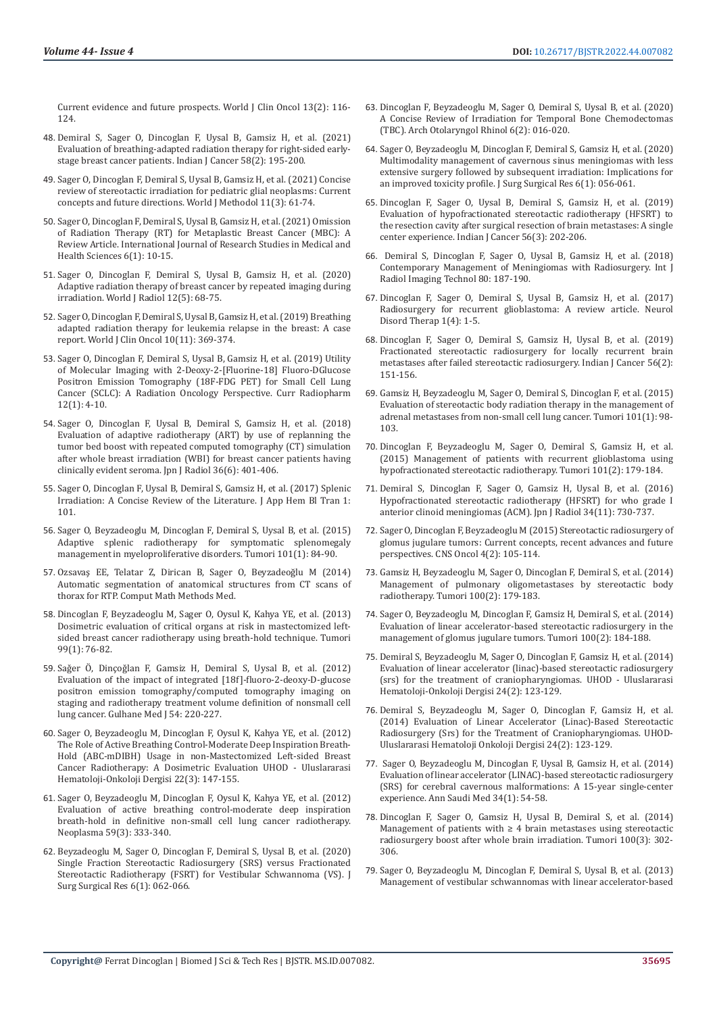[Current evidence and future prospects. World J Clin Oncol 13\(2\): 116-](https://pubmed.ncbi.nlm.nih.gov/35316927/) [124.](https://pubmed.ncbi.nlm.nih.gov/35316927/)

- 48. [Demiral S, Sager O, Dincoglan F, Uysal B, Gamsiz H, et al. \(2021\)](https://pubmed.ncbi.nlm.nih.gov/33402561/)  [Evaluation of breathing-adapted radiation therapy for right-sided early](https://pubmed.ncbi.nlm.nih.gov/33402561/)[stage breast cancer patients. Indian J Cancer 58\(2\): 195-200.](https://pubmed.ncbi.nlm.nih.gov/33402561/)
- 49. [Sager O, Dincoglan F, Demiral S, Uysal B, Gamsiz H, et al. \(2021\) Concise](https://pubmed.ncbi.nlm.nih.gov/34026579/)  [review of stereotactic irradiation for pediatric glial neoplasms: Current](https://pubmed.ncbi.nlm.nih.gov/34026579/)  [concepts and future directions. World J Methodol 11\(3\): 61-74.](https://pubmed.ncbi.nlm.nih.gov/34026579/)
- 50. [Sager O, Dincoglan F, Demiral S, Uysal B, Gamsiz H, et al. \(2021\) Omission](http://www.ijrsmhs.com/pdf/v6-i1/2.pdf)  [of Radiation Therapy \(RT\) for Metaplastic Breast Cancer \(MBC\): A](http://www.ijrsmhs.com/pdf/v6-i1/2.pdf)  [Review Article. International Journal of Research Studies in Medical and](http://www.ijrsmhs.com/pdf/v6-i1/2.pdf)  [Health Sciences 6\(1\): 10-15.](http://www.ijrsmhs.com/pdf/v6-i1/2.pdf)
- 51. [Sager O, Dincoglan F, Demiral S, Uysal B, Gamsiz H, et al. \(2020\)](https://pubmed.ncbi.nlm.nih.gov/32549955/)  [Adaptive radiation therapy of breast cancer by repeated imaging during](https://pubmed.ncbi.nlm.nih.gov/32549955/)  [irradiation. World J Radiol 12\(5\): 68-75.](https://pubmed.ncbi.nlm.nih.gov/32549955/)
- 52. [Sager O, Dincoglan F, Demiral S, Uysal B, Gamsiz H, et al. \(2019\) Breathing](https://pubmed.ncbi.nlm.nih.gov/31815096/)  [adapted radiation therapy for leukemia relapse in the breast: A case](https://pubmed.ncbi.nlm.nih.gov/31815096/)  [report. World J Clin Oncol 10\(11\): 369-374.](https://pubmed.ncbi.nlm.nih.gov/31815096/)
- 53. [Sager O, Dincoglan F, Demiral S, Uysal B, Gamsiz H, et al. \(2019\) Utility](https://pubmed.ncbi.nlm.nih.gov/30465520/)  [of Molecular Imaging with 2-Deoxy-2-\[Fluorine-18\] Fluoro-DGlucose](https://pubmed.ncbi.nlm.nih.gov/30465520/)  [Positron Emission Tomography \(18F-FDG PET\) for Small Cell Lung](https://pubmed.ncbi.nlm.nih.gov/30465520/)  [Cancer \(SCLC\): A Radiation Oncology Perspective. Curr Radiopharm](https://pubmed.ncbi.nlm.nih.gov/30465520/)  [12\(1\): 4-10.](https://pubmed.ncbi.nlm.nih.gov/30465520/)
- 54. [Sager O, Dincoglan F, Uysal B, Demiral S, Gamsiz H, et al. \(2018\)](https://pubmed.ncbi.nlm.nih.gov/29623550/)  [Evaluation of adaptive radiotherapy \(ART\) by use of replanning the](https://pubmed.ncbi.nlm.nih.gov/29623550/)  [tumor bed boost with repeated computed tomography \(CT\) simulation](https://pubmed.ncbi.nlm.nih.gov/29623550/)  [after whole breast irradiation \(WBI\) for breast cancer patients having](https://pubmed.ncbi.nlm.nih.gov/29623550/)  [clinically evident seroma. Jpn J Radiol 36\(6\): 401-406.](https://pubmed.ncbi.nlm.nih.gov/29623550/)
- 55. [Sager O, Dincoglan F, Uysal B, Demiral S, Gamsiz H, et al. \(2017\) Splenic](https://www.semanticscholar.org/paper/Splenic-Irradiation%3A-A-Concise-Review-of-the-Sager/9205a0a7d955356ad466c4d5e485bb0e1c39bd45)  [Irradiation: A Concise Review of the Literature. J App Hem Bl Tran 1:](https://www.semanticscholar.org/paper/Splenic-Irradiation%3A-A-Concise-Review-of-the-Sager/9205a0a7d955356ad466c4d5e485bb0e1c39bd45)  [101.](https://www.semanticscholar.org/paper/Splenic-Irradiation%3A-A-Concise-Review-of-the-Sager/9205a0a7d955356ad466c4d5e485bb0e1c39bd45)
- 56. [Sager O, Beyzadeoglu M, Dincoglan F, Demiral S, Uysal B, et al. \(2015\)](https://pubmed.ncbi.nlm.nih.gov/25702680/)  [Adaptive splenic radiotherapy for symptomatic splenomegaly](https://pubmed.ncbi.nlm.nih.gov/25702680/)  [management in myeloproliferative disorders. Tumori 101\(1\): 84-90.](https://pubmed.ncbi.nlm.nih.gov/25702680/)
- 57. [Ozsavaş EE, Telatar Z, Dirican B, Sager O, Beyzadeoğ](https://pubmed.ncbi.nlm.nih.gov/25587349/)lu M (2014) [Automatic segmentation of anatomical structures from CT scans of](https://pubmed.ncbi.nlm.nih.gov/25587349/)  [thorax for RTP. Comput Math Methods Med.](https://pubmed.ncbi.nlm.nih.gov/25587349/)
- 58. [Dincoglan F, Beyzadeoglu M, Sager O, Oysul K, Kahya YE, et al. \(2013\)](https://pubmed.ncbi.nlm.nih.gov/23549004/)  [Dosimetric evaluation of critical organs at risk in mastectomized left](https://pubmed.ncbi.nlm.nih.gov/23549004/)[sided breast cancer radiotherapy using breath-hold technique. Tumori](https://pubmed.ncbi.nlm.nih.gov/23549004/)  [99\(1\): 76-82.](https://pubmed.ncbi.nlm.nih.gov/23549004/)
- 59. Saǧer Ö, Dinçoǧ[lan F, Gamsiz H, Demiral S, Uysal B, et al. \(2012\)](https://cms.galenos.com.tr/Uploads/Article_33333/GMJ-54-220-En.pdf)  [Evaluation of the impact of integrated \[18f\]-fluoro-2-deoxy-D-glucose](https://cms.galenos.com.tr/Uploads/Article_33333/GMJ-54-220-En.pdf)  [positron emission tomography/computed tomography imaging on](https://cms.galenos.com.tr/Uploads/Article_33333/GMJ-54-220-En.pdf)  [staging and radiotherapy treatment volume definition of nonsmall cell](https://cms.galenos.com.tr/Uploads/Article_33333/GMJ-54-220-En.pdf)  [lung cancer. Gulhane Med J 54: 220-227.](https://cms.galenos.com.tr/Uploads/Article_33333/GMJ-54-220-En.pdf)
- 60. [Sager O, Beyzadeoglu M, Dincoglan F, Oysul K, Kahya YE, et al. \(2012\)](https://www.researchgate.net/publication/271205076_The_Role_of_Active_Breathing_Control-Moderate_Deep_Inspiration_Breath-Hold_ABC-mDIBH_Usage_in_non-Mastectomized_Left-sided_Breast_Cancer_Radiotherapy_A_Dosimetric_Evaluation)  [The Role of Active Breathing Control-Moderate Deep Inspiration Breath-](https://www.researchgate.net/publication/271205076_The_Role_of_Active_Breathing_Control-Moderate_Deep_Inspiration_Breath-Hold_ABC-mDIBH_Usage_in_non-Mastectomized_Left-sided_Breast_Cancer_Radiotherapy_A_Dosimetric_Evaluation)[Hold \(ABC-mDIBH\) Usage in non-Mastectomized Left-sided Breast](https://www.researchgate.net/publication/271205076_The_Role_of_Active_Breathing_Control-Moderate_Deep_Inspiration_Breath-Hold_ABC-mDIBH_Usage_in_non-Mastectomized_Left-sided_Breast_Cancer_Radiotherapy_A_Dosimetric_Evaluation)  [Cancer Radiotherapy: A Dosimetric Evaluation UHOD - Uluslararasi](https://www.researchgate.net/publication/271205076_The_Role_of_Active_Breathing_Control-Moderate_Deep_Inspiration_Breath-Hold_ABC-mDIBH_Usage_in_non-Mastectomized_Left-sided_Breast_Cancer_Radiotherapy_A_Dosimetric_Evaluation)  [Hematoloji-Onkoloji Dergisi 22\(3\): 147-155.](https://www.researchgate.net/publication/271205076_The_Role_of_Active_Breathing_Control-Moderate_Deep_Inspiration_Breath-Hold_ABC-mDIBH_Usage_in_non-Mastectomized_Left-sided_Breast_Cancer_Radiotherapy_A_Dosimetric_Evaluation)
- 61. [Sager O, Beyzadeoglu M, Dincoglan F, Oysul K, Kahya YE, et al. \(2012\)](https://pubmed.ncbi.nlm.nih.gov/22296503/)  [Evaluation of active breathing control-moderate deep inspiration](https://pubmed.ncbi.nlm.nih.gov/22296503/)  [breath-hold in definitive non-small cell lung cancer radiotherapy.](https://pubmed.ncbi.nlm.nih.gov/22296503/)  [Neoplasma 59\(3\): 333-340.](https://pubmed.ncbi.nlm.nih.gov/22296503/)
- 62. [Beyzadeoglu M, Sager O, Dincoglan F, Demiral S, Uysal B, et al. \(2020\)](https://www.researchgate.net/publication/343380136_Single_Fraction_Stereotactic_Radiosurgery_SRS_versus_Fractionated_Stereotactic_Radiotherapy_FSRT_for_Vestibular_Schwannoma_VS)  [Single Fraction Stereotactic Radiosurgery \(SRS\) versus Fractionated](https://www.researchgate.net/publication/343380136_Single_Fraction_Stereotactic_Radiosurgery_SRS_versus_Fractionated_Stereotactic_Radiotherapy_FSRT_for_Vestibular_Schwannoma_VS)  [Stereotactic Radiotherapy \(FSRT\) for Vestibular Schwannoma \(VS\). J](https://www.researchgate.net/publication/343380136_Single_Fraction_Stereotactic_Radiosurgery_SRS_versus_Fractionated_Stereotactic_Radiotherapy_FSRT_for_Vestibular_Schwannoma_VS)  [Surg Surgical Res 6\(1\): 062-066.](https://www.researchgate.net/publication/343380136_Single_Fraction_Stereotactic_Radiosurgery_SRS_versus_Fractionated_Stereotactic_Radiotherapy_FSRT_for_Vestibular_Schwannoma_VS)
- 63. [Dincoglan F, Beyzadeoglu M, Sager O, Demiral S, Uysal B, et al. \(2020\)](https://www.peertechzpublications.com/articles/AOR-6-215.php) [A Concise Review of Irradiation for Temporal Bone Chemodectomas](https://www.peertechzpublications.com/articles/AOR-6-215.php) [\(TBC\). Arch Otolaryngol Rhinol 6\(2\): 016-020.](https://www.peertechzpublications.com/articles/AOR-6-215.php)
- 64. [Sager O, Beyzadeoglu M, Dincoglan F, Demiral S, Gamsiz H, et al. \(2020\)](https://www.peertechzpublications.com/articles/JSSR-6-198.php) [Multimodality management of cavernous sinus meningiomas with less](https://www.peertechzpublications.com/articles/JSSR-6-198.php) [extensive surgery followed by subsequent irradiation: Implications for](https://www.peertechzpublications.com/articles/JSSR-6-198.php) [an improved toxicity profile. J Surg Surgical Res 6\(1\): 056-061.](https://www.peertechzpublications.com/articles/JSSR-6-198.php)
- 65. [Dincoglan F, Sager O, Uysal B, Demiral S, Gamsiz H, et al. \(2019\)](https://pubmed.ncbi.nlm.nih.gov/31389381/) [Evaluation of hypofractionated stereotactic radiotherapy \(HFSRT\) to](https://pubmed.ncbi.nlm.nih.gov/31389381/) [the resection cavity after surgical resection of brain metastases: A single](https://pubmed.ncbi.nlm.nih.gov/31389381/) [center experience. Indian J Cancer 56\(3\): 202-206.](https://pubmed.ncbi.nlm.nih.gov/31389381/)
- 66. Demiral S, Dincoglan F, Sager O, Uysal B, Gamsiz H, et al. (2018) Contemporary Management of Meningiomas with Radiosurgery. Int J Radiol Imaging Technol 80: 187-190.
- 67. [Dincoglan F, Sager O, Demiral S, Uysal B, Gamsiz H, et al. \(2017\)](https://www.oatext.com/pdf/NDT-1-119.pdf) [Radiosurgery for recurrent glioblastoma: A review article. Neurol](https://www.oatext.com/pdf/NDT-1-119.pdf) [Disord Therap 1\(4\): 1-5.](https://www.oatext.com/pdf/NDT-1-119.pdf)
- 68. [Dincoglan F, Sager O, Demiral S, Gamsiz H, Uysal B, et al. \(2019\)](https://pubmed.ncbi.nlm.nih.gov/31062735/) [Fractionated stereotactic radiosurgery for locally recurrent brain](https://pubmed.ncbi.nlm.nih.gov/31062735/) [metastases after failed stereotactic radiosurgery. Indian J Cancer 56\(2\):](https://pubmed.ncbi.nlm.nih.gov/31062735/) [151-156.](https://pubmed.ncbi.nlm.nih.gov/31062735/)
- 69. [Gamsiz H, Beyzadeoglu M, Sager O, Demiral S, Dincoglan F, et al. \(2015\)](https://pubmed.ncbi.nlm.nih.gov/25702673/) [Evaluation of stereotactic body radiation therapy in the management of](https://pubmed.ncbi.nlm.nih.gov/25702673/) [adrenal metastases from non-small cell lung cancer. Tumori 101\(1\): 98-](https://pubmed.ncbi.nlm.nih.gov/25702673/) [103.](https://pubmed.ncbi.nlm.nih.gov/25702673/)
- 70. [Dincoglan F, Beyzadeoglu M, Sager O, Demiral S, Gamsiz H, et al.](https://pubmed.ncbi.nlm.nih.gov/25791534/) [\(2015\) Management of patients with recurrent glioblastoma using](https://pubmed.ncbi.nlm.nih.gov/25791534/) [hypofractionated stereotactic radiotherapy. Tumori 101\(2\): 179-184.](https://pubmed.ncbi.nlm.nih.gov/25791534/)
- 71. [Demiral S, Dincoglan F, Sager O, Gamsiz H, Uysal B, et al. \(2016\)](https://pubmed.ncbi.nlm.nih.gov/27659448/) [Hypofractionated stereotactic radiotherapy \(HFSRT\) for who grade I](https://pubmed.ncbi.nlm.nih.gov/27659448/) [anterior clinoid meningiomas \(ACM\). Jpn J Radiol 34\(11\): 730-737.](https://pubmed.ncbi.nlm.nih.gov/27659448/)
- 72. [Sager O, Dincoglan F, Beyzadeoglu M \(2015\) Stereotactic radiosurgery of](https://pubmed.ncbi.nlm.nih.gov/25768334/) [glomus jugulare tumors: Current concepts, recent advances and future](https://pubmed.ncbi.nlm.nih.gov/25768334/) [perspectives. CNS Oncol 4\(2\): 105-114.](https://pubmed.ncbi.nlm.nih.gov/25768334/)
- 73. [Gamsiz H, Beyzadeoglu M, Sager O, Dincoglan F, Demiral S, et al. \(2014\)](https://journals.sagepub.com/doi/10.1177/030089161410000210) [Management of pulmonary oligometastases by stereotactic body](https://journals.sagepub.com/doi/10.1177/030089161410000210) [radiotherapy. Tumori 100\(2\): 179-183.](https://journals.sagepub.com/doi/10.1177/030089161410000210)
- 74. [Sager O, Beyzadeoglu M, Dincoglan F, Gamsiz H, Demiral S, et al. \(2014\)](https://journals.sagepub.com/doi/abs/10.1177/030089161410000211) [Evaluation of linear accelerator-based stereotactic radiosurgery in the](https://journals.sagepub.com/doi/abs/10.1177/030089161410000211) [management of glomus jugulare tumors. Tumori 100\(2\): 184-188.](https://journals.sagepub.com/doi/abs/10.1177/030089161410000211)
- 75. [Demiral S, Beyzadeoglu M, Sager O, Dincoglan F, Gamsiz H, et al. \(2014\)](https://www.researchgate.net/publication/278083491_Evaluation_of_Linear_Accelerator_Linac-Based_Stereotactic_Radiosurgery_Srs_for_The_Treatment_of_Craniopharyngiomas) [Evaluation of linear accelerator \(linac\)-based stereotactic radiosurgery](https://www.researchgate.net/publication/278083491_Evaluation_of_Linear_Accelerator_Linac-Based_Stereotactic_Radiosurgery_Srs_for_The_Treatment_of_Craniopharyngiomas) [\(srs\) for the treatment of craniopharyngiomas. UHOD - Uluslararasi](https://www.researchgate.net/publication/278083491_Evaluation_of_Linear_Accelerator_Linac-Based_Stereotactic_Radiosurgery_Srs_for_The_Treatment_of_Craniopharyngiomas) [Hematoloji-Onkoloji Dergisi 24\(2\): 123-129.](https://www.researchgate.net/publication/278083491_Evaluation_of_Linear_Accelerator_Linac-Based_Stereotactic_Radiosurgery_Srs_for_The_Treatment_of_Craniopharyngiomas)
- 76. [Demiral S, Beyzadeoglu M, Sager O, Dincoglan F, Gamsiz H, et al.](https://www.researchgate.net/publication/278083491_Evaluation_of_Linear_Accelerator_Linac-Based_Stereotactic_Radiosurgery_Srs_for_The_Treatment_of_Craniopharyngiomas) [\(2014\) Evaluation of Linear Accelerator \(Linac\)-Based Stereotactic](https://www.researchgate.net/publication/278083491_Evaluation_of_Linear_Accelerator_Linac-Based_Stereotactic_Radiosurgery_Srs_for_The_Treatment_of_Craniopharyngiomas) [Radiosurgery \(Srs\) for the Treatment of Craniopharyngiomas. UHOD-](https://www.researchgate.net/publication/278083491_Evaluation_of_Linear_Accelerator_Linac-Based_Stereotactic_Radiosurgery_Srs_for_The_Treatment_of_Craniopharyngiomas)[Uluslararasi Hematoloji Onkoloji Dergisi 24\(2\): 123-129.](https://www.researchgate.net/publication/278083491_Evaluation_of_Linear_Accelerator_Linac-Based_Stereotactic_Radiosurgery_Srs_for_The_Treatment_of_Craniopharyngiomas)
- 77. [Sager O, Beyzadeoglu M, Dincoglan F, Uysal B, Gamsiz H, et al. \(2014\)](https://www.annsaudimed.net/doi/10.5144/0256-4947.2014.54) [Evaluation of linear accelerator \(LINAC\)-based stereotactic radiosurgery](https://www.annsaudimed.net/doi/10.5144/0256-4947.2014.54) [\(SRS\) for cerebral cavernous malformations: A 15-year single-center](https://www.annsaudimed.net/doi/10.5144/0256-4947.2014.54) [experience. Ann Saudi Med 34\(1\): 54-58.](https://www.annsaudimed.net/doi/10.5144/0256-4947.2014.54)
- 78. [Dincoglan F, Sager O, Gamsiz H, Uysal B, Demiral S, et al. \(2014\)](https://journals.sagepub.com/doi/abs/10.1700/1578.17210) Management of patients with  $\geq 4$  brain metastases using stereotactic [radiosurgery boost after whole brain irradiation. Tumori 100\(3\): 302-](https://journals.sagepub.com/doi/abs/10.1700/1578.17210) [306.](https://journals.sagepub.com/doi/abs/10.1700/1578.17210)
- 79. [Sager O, Beyzadeoglu M, Dincoglan F, Demiral S, Uysal B, et al. \(2013\)](https://pubmed.ncbi.nlm.nih.gov/24362867/) [Management of vestibular schwannomas with linear accelerator-based](https://pubmed.ncbi.nlm.nih.gov/24362867/)